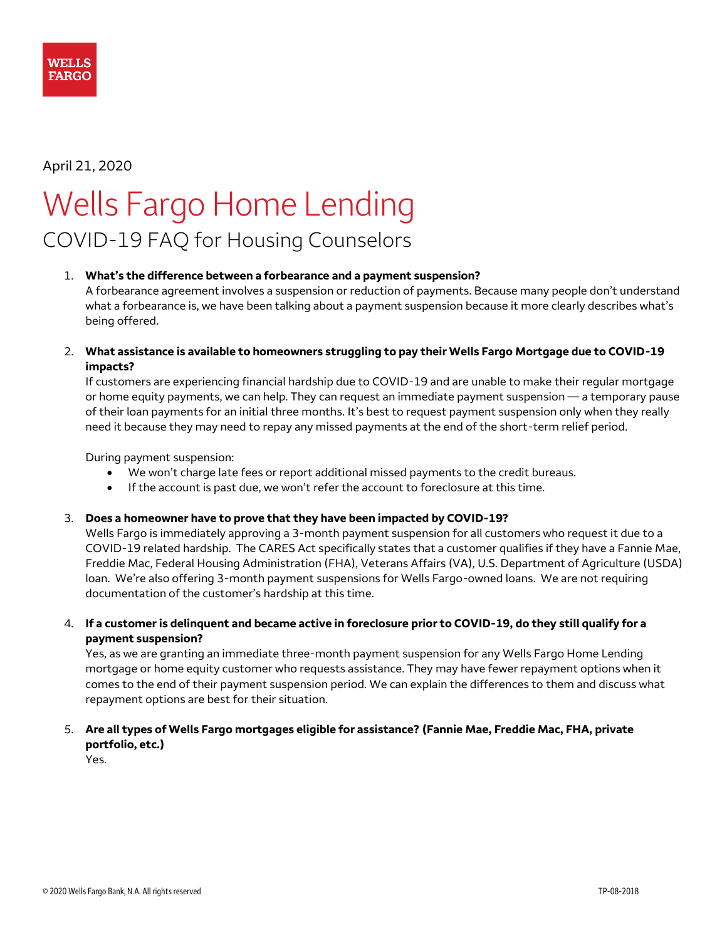

# April 21, 2020

# Wells Fargo Home Lending COVID-19 FAQ for Housing Counselors

#### 1. **What's the difference between a forbearance and a payment suspension?**

A forbearance agreement involves a suspension or reduction of payments. Because many people don't understand what a forbearance is, we have been talking about a payment suspension because it more clearly describes what's being offered.

2. **What assistance is available to homeowners struggling to pay their Wells Fargo Mortgage due to COVID-19 impacts?**

If customers are experiencing financial hardship due to COVID-19 and are unable to make their regular mortgage or home equity payments, we can help. They can request an immediate payment suspension — a temporary pause of their loan payments for an initial three months. It's best to request payment suspension only when they really need it because they may need to repay any missed payments at the end of the short-term relief period.

During payment suspension:

- We won't charge late fees or report additional missed payments to the credit bureaus.
- If the account is past due, we won't refer the account to foreclosure at this time.

#### 3. **Does a homeowner have to prove that they have been impacted by COVID-19?**

Wells Fargo is immediately approving a 3-month payment suspension for all customers who request it due to a COVID-19 related hardship. The CARES Act specifically states that a customer qualifies if they have a Fannie Mae, Freddie Mac, Federal Housing Administration (FHA), Veterans Affairs (VA), U.S. Department of Agriculture (USDA) loan. We're also offering 3-month payment suspensions for Wells Fargo-owned loans. We are not requiring documentation of the customer's hardship at this time.

4. **If a customer is delinquent and became active in foreclosure prior to COVID-19, do they still qualify for a payment suspension?**

Yes, as we are granting an immediate three-month payment suspension for any Wells Fargo Home Lending mortgage or home equity customer who requests assistance. They may have fewer repayment options when it comes to the end of their payment suspension period. We can explain the differences to them and discuss what repayment options are best for their situation.

5. **Are all types of Wells Fargo mortgages eligible for assistance? (Fannie Mae, Freddie Mac, FHA, private portfolio, etc.)**

Yes.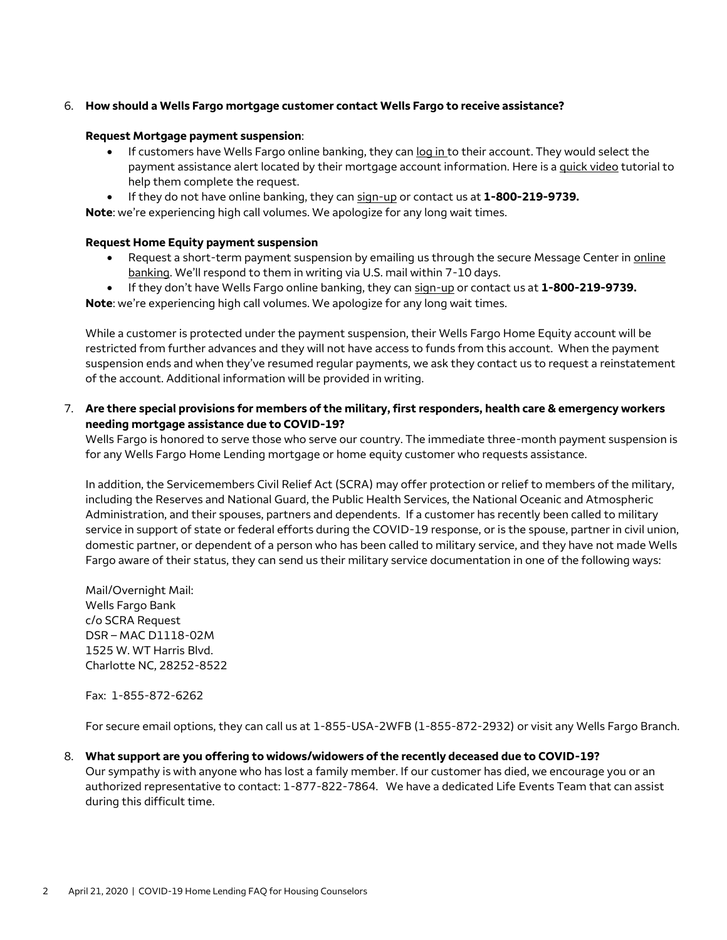### 6. **How should a Wells Fargo mortgage customer contact Wells Fargo to receive assistance?**

#### **Request Mortgage payment suspension**:

- If customers have Wells Fargo online banking, they ca[n log in t](https://connect.secure.wellsfargo.com/auth/login/present?origin=cob&LOB=CONS)o their account. They would select the payment assistance alert located by their mortgage account information. Here is [a quick video](https://youtu.be/QEHFHUlYxMU) tutorial to help them complete the request.
- If they do not have online banking, they can [sign-up](https://oam.wellsfargo.com/oamo/identity/enrollment) or contact us at **1-800-219-9739.**

**Note**: we're experiencing high call volumes. We apologize for any long wait times.

#### **Request Home Equity payment suspension**

- Request a short-term payment suspension by emailing us through the secure Message Center in [online](https://connect.secure.wellsfargo.com/auth/login/present?origin=cob&LOB=CONS)  [banking](https://connect.secure.wellsfargo.com/auth/login/present?origin=cob&LOB=CONS). We'll respond to them in writing via U.S. mail within 7-10 days.
- If they don't have Wells Fargo online banking, they can [sign-up](https://oam.wellsfargo.com/oamo/identity/enrollment) or contact us at **1-800-219-9739.**

**Note**: we're experiencing high call volumes. We apologize for any long wait times.

While a customer is protected under the payment suspension, their Wells Fargo Home Equity account will be restricted from further advances and they will not have access to funds from this account. When the payment suspension ends and when they've resumed regular payments, we ask they contact us to request a reinstatement of the account. Additional information will be provided in writing.

7. **Are there special provisions for members of the military, first responders, health care & emergency workers needing mortgage assistance due to COVID-19?**

Wells Fargo is honored to serve those who serve our country. The immediate three-month payment suspension is for any Wells Fargo Home Lending mortgage or home equity customer who requests assistance.

In addition, the Servicemembers Civil Relief Act (SCRA) may offer protection or relief to members of the military, including the Reserves and National Guard, the Public Health Services, the National Oceanic and Atmospheric Administration, and their spouses, partners and dependents. If a customer has recently been called to military service in support of state or federal efforts during the COVID-19 response, or is the spouse, partner in civil union, domestic partner, or dependent of a person who has been called to military service, and they have not made Wells Fargo aware of their status, they can send us their military service documentation in one of the following ways:

Mail/Overnight Mail: Wells Fargo Bank c/o SCRA Request DSR – MAC D1118-02M 1525 W. WT Harris Blvd. Charlotte NC, 28252-8522

Fax: 1-855-872-6262

For secure email options, they can call us at 1-855-USA-2WFB (1-855-872-2932) or visit any Wells Fargo Branch.

8. **What support are you offering to widows/widowers of the recently deceased due to COVID-19?** Our sympathy is with anyone who has lost a family member. If our customer has died, we encourage you or an authorized representative to contact: 1-877-822-7864. We have a dedicated Life Events Team that can assist during this difficult time.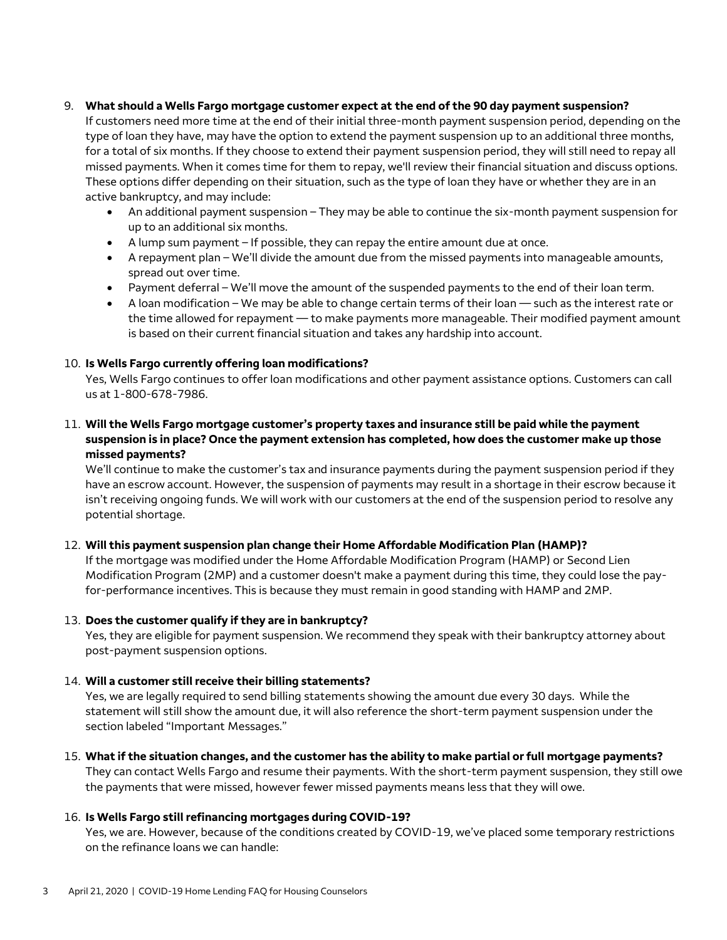### 9. **What should a Wells Fargo mortgage customer expect at the end of the 90 day payment suspension?**

If customers need more time at the end of their initial three-month payment suspension period, depending on the type of loan they have, may have the option to extend the payment suspension up to an additional three months, for a total of six months. If they choose to extend their payment suspension period, they will still need to repay all missed payments. When it comes time for them to repay, we'll review their financial situation and discuss options. These options differ depending on their situation, such as the type of loan they have or whether they are in an active bankruptcy, and may include:

- An additional payment suspension They may be able to continue the six-month payment suspension for up to an additional six months.
- A lump sum payment If possible, they can repay the entire amount due at once.
- A repayment plan We'll divide the amount due from the missed payments into manageable amounts, spread out over time.
- Payment deferral We'll move the amount of the suspended payments to the end of their loan term.
- A loan modification We may be able to change certain terms of their loan such as the interest rate or the time allowed for repayment — to make payments more manageable. Their modified payment amount is based on their current financial situation and takes any hardship into account.

# 10. **Is Wells Fargo currently offering loan modifications?**

Yes, Wells Fargo continues to offer loan modifications and other payment assistance options. Customers can call us at 1-800-678-7986.

11. **Will the Wells Fargo mortgage customer's property taxes and insurance still be paid while the payment suspension is in place? Once the payment extension has completed, how does the customer make up those missed payments?**

We'll continue to make the customer's tax and insurance payments during the payment suspension period if they have an escrow account. However, the suspension of payments may result in a shortage in their escrow because it isn't receiving ongoing funds. We will work with our customers at the end of the suspension period to resolve any potential shortage.

# 12. **Will this payment suspension plan change their Home Affordable Modification Plan (HAMP)?**

If the mortgage was modified under the Home Affordable Modification Program (HAMP) or Second Lien Modification Program (2MP) and a customer doesn't make a payment during this time, they could lose the payfor-performance incentives. This is because they must remain in good standing with HAMP and 2MP.

# 13. **Does the customer qualify if they are in bankruptcy?**

Yes, they are eligible for payment suspension. We recommend they speak with their bankruptcy attorney about post-payment suspension options.

# 14. **Will a customer still receive their billing statements?**

Yes, we are legally required to send billing statements showing the amount due every 30 days. While the statement will still show the amount due, it will also reference the short-term payment suspension under the section labeled "Important Messages."

# 15. **What if the situation changes, and the customer has the ability to make partial or full mortgage payments?**

They can contact Wells Fargo and resume their payments. With the short-term payment suspension, they still owe the payments that were missed, however fewer missed payments means less that they will owe.

# 16. **Is Wells Fargo still refinancing mortgages during COVID-19?**

Yes, we are. However, because of the conditions created by COVID-19, we've placed some temporary restrictions on the refinance loans we can handle: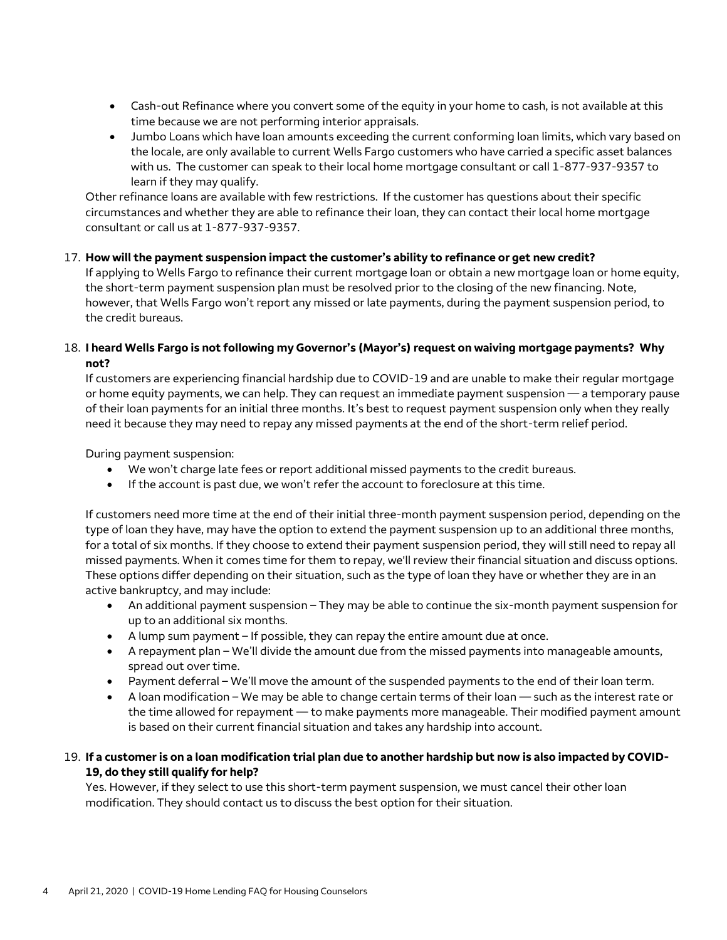- Cash-out Refinance where you convert some of the equity in your home to cash, is not available at this time because we are not performing interior appraisals.
- Jumbo Loans which have loan amounts exceeding the current conforming loan limits, which vary based on the locale, are only available to current Wells Fargo customers who have carried a specific asset balances with us. The customer can speak to their local home mortgage consultant or call 1-877-937-9357 to learn if they may qualify.

Other refinance loans are available with few restrictions. If the customer has questions about their specific circumstances and whether they are able to refinance their loan, they can contact their local home mortgage consultant or call us at 1-877-937-9357.

### 17. **How will the payment suspension impact the customer's ability to refinance or get new credit?**

If applying to Wells Fargo to refinance their current mortgage loan or obtain a new mortgage loan or home equity, the short-term payment suspension plan must be resolved prior to the closing of the new financing. Note, however, that Wells Fargo won't report any missed or late payments, during the payment suspension period, to the credit bureaus.

# 18. **I heard Wells Fargo is not following my Governor's (Mayor's) request on waiving mortgage payments? Why not?**

If customers are experiencing financial hardship due to COVID-19 and are unable to make their regular mortgage or home equity payments, we can help. They can request an immediate payment suspension — a temporary pause of their loan payments for an initial three months. It's best to request payment suspension only when they really need it because they may need to repay any missed payments at the end of the short-term relief period.

During payment suspension:

- We won't charge late fees or report additional missed payments to the credit bureaus.
- If the account is past due, we won't refer the account to foreclosure at this time.

If customers need more time at the end of their initial three-month payment suspension period, depending on the type of loan they have, may have the option to extend the payment suspension up to an additional three months, for a total of six months. If they choose to extend their payment suspension period, they will still need to repay all missed payments. When it comes time for them to repay, we'll review their financial situation and discuss options. These options differ depending on their situation, such as the type of loan they have or whether they are in an active bankruptcy, and may include:

- An additional payment suspension They may be able to continue the six-month payment suspension for up to an additional six months.
- A lump sum payment If possible, they can repay the entire amount due at once.
- A repayment plan We'll divide the amount due from the missed payments into manageable amounts, spread out over time.
- Payment deferral We'll move the amount of the suspended payments to the end of their loan term.
- A loan modification We may be able to change certain terms of their loan such as the interest rate or the time allowed for repayment — to make payments more manageable. Their modified payment amount is based on their current financial situation and takes any hardship into account.

# 19. **If a customer is on a loan modification trial plan due to another hardship but now is also impacted by COVID-19, do they still qualify for help?**

Yes. However, if they select to use this short-term payment suspension, we must cancel their other loan modification. They should contact us to discuss the best option for their situation.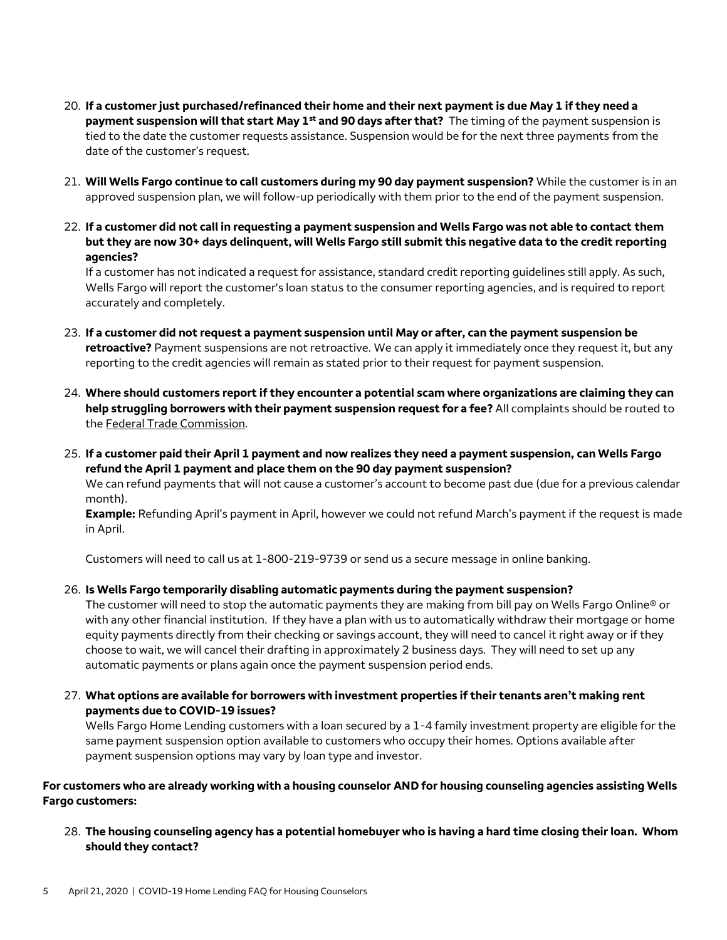- 20. **If a customer just purchased/refinanced their home and their next payment is due May 1 if they need a payment suspension will that start May 1st and 90 days after that?** The timing of the payment suspension is tied to the date the customer requests assistance. Suspension would be for the next three payments from the date of the customer's request.
- 21. **Will Wells Fargo continue to call customers during my 90 day payment suspension?** While the customer is in an approved suspension plan, we will follow-up periodically with them prior to the end of the payment suspension.
- 22. **If a customer did not call in requesting a payment suspension and Wells Fargo was not able to contact them but they are now 30+ days delinquent, will Wells Fargo still submit this negative data to the credit reporting agencies?**

If a customer has not indicated a request for assistance, standard credit reporting guidelines still apply. As such, Wells Fargo will report the customer's loan status to the consumer reporting agencies, and is required to report accurately and completely.

- 23. **If a customer did not request a payment suspension until May or after, can the payment suspension be retroactive?** Payment suspensions are not retroactive. We can apply it immediately once they request it, but any reporting to the credit agencies will remain as stated prior to their request for payment suspension.
- 24. **Where should customers report if they encounter a potential scam where organizations are claiming they can help struggling borrowers with their payment suspension request for a fee?** All complaints should be routed to the [Federal Trade Commission.](http://www.ftc.gov/complaint)
- 25. **If a customer paid their April 1 payment and now realizes they need a payment suspension, can Wells Fargo refund the April 1 payment and place them on the 90 day payment suspension?**

We can refund payments that will not cause a customer's account to become past due (due for a previous calendar month).

**Example:** Refunding April's payment in April, however we could not refund March's payment if the request is made in April.

Customers will need to call us at 1-800-219-9739 or send us a secure message in online banking.

#### 26. **Is Wells Fargo temporarily disabling automatic payments during the payment suspension?**

The customer will need to stop the automatic payments they are making from bill pay on Wells Fargo Online® or with any other financial institution. If they have a plan with us to automatically withdraw their mortgage or home equity payments directly from their checking or savings account, they will need to cancel it right away or if they choose to wait, we will cancel their drafting in approximately 2 business days. They will need to set up any automatic payments or plans again once the payment suspension period ends.

# 27. **What options are available for borrowers with investment properties if their tenants aren't making rent payments due to COVID-19 issues?**

Wells Fargo Home Lending customers with a loan secured by a 1-4 family investment property are eligible for the same payment suspension option available to customers who occupy their homes. Options available after payment suspension options may vary by loan type and investor.

### **For customers who are already working with a housing counselor AND for housing counseling agencies assisting Wells Fargo customers:**

28. **The housing counseling agency has a potential homebuyer who is having a hard time closing their loan. Whom should they contact?**